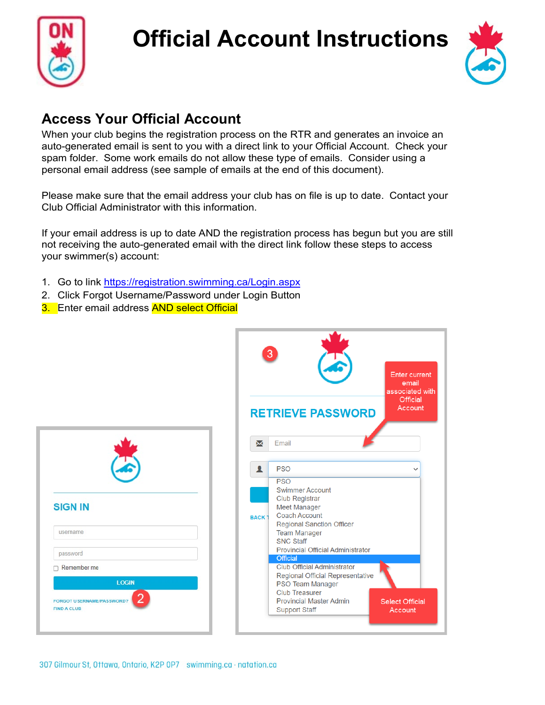

**SIGN IN** 

username

password  $\Box$  Remember me

FIND A CLUB

FORGOT U SERNAME/PASSWORD

# **Official Account Instructions**



#### **Access Your Official Account**

When your club begins the registration process on the RTR and generates an invoice an auto-generated email is sent to you with a direct link to your Official Account. Check your spam folder. Some work emails do not allow these type of emails. Consider using a personal email address (see sample of emails at the end of this document).

Please make sure that the email address your club has on file is up to date. Contact your Club Official Administrator with this information.

If your email address is up to date AND the registration process has begun but you are still not receiving the auto-generated email with the direct link follow these steps to access your swimmer(s) account:

- 1. Go to link<https://registration.swimming.ca/Login.aspx>
- 2. Click Forgot Username/Password under Login Button
- 3. Enter email address **AND select Official**

| 3<br><b>Enter current</b><br>email<br>associated with<br>Official<br>Account<br><b>RETRIEVE PASSWORD</b>                                                                                                                                                                                                                                                                                                                                                                                                                                 |  |
|------------------------------------------------------------------------------------------------------------------------------------------------------------------------------------------------------------------------------------------------------------------------------------------------------------------------------------------------------------------------------------------------------------------------------------------------------------------------------------------------------------------------------------------|--|
| X<br>Email<br><b>PSO</b><br>1<br><b>PSO</b><br><b>Swimmer Account</b><br><b>Club Registrar</b><br><b>Meet Manager</b><br><b>Coach Account</b><br><b>BACK1</b><br><b>Regional Sanction Officer</b><br><b>Team Manager</b><br><b>SNC Staff</b><br><b>Provincial Official Administrator</b><br><b>Official</b><br><b>Club Official Administrator</b><br><b>Regional Official Representative</b><br>PSO Team Manager<br><b>Club Treasurer</b><br><b>Provincial Master Admin</b><br><b>Select Official</b><br><b>Support Staff</b><br>Account |  |

**LOGIN**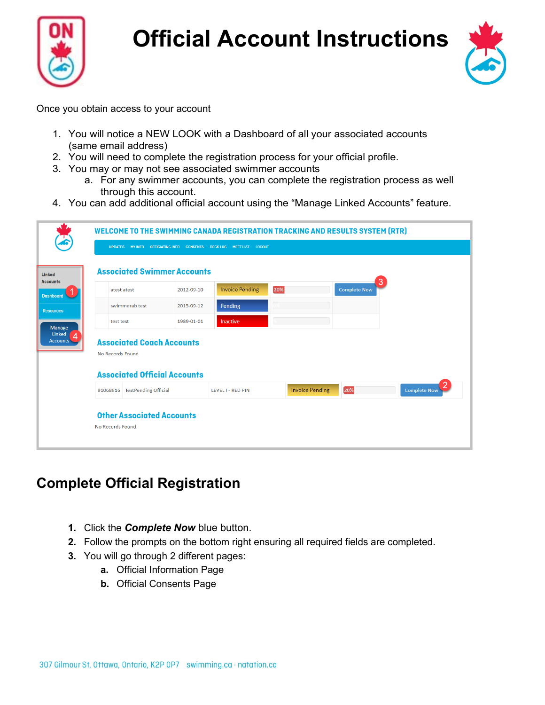



Once you obtain access to your account

- 1. You will notice a NEW LOOK with a Dashboard of all your associated accounts (same email address)
- 2. You will need to complete the registration process for your official profile.
- 3. You may or may not see associated swimmer accounts
	- a. For any swimmer accounts, you can complete the registration process as well through this account.
- 4. You can add additional official account using the "Manage Linked Accounts" feature.

|                | UPDATES MY INFO                                                                             |            | OFFICIATING INFO CONSENTS DECK LOG MEET LIST<br><b>LOGOUT</b> |                        |                          |                     |
|----------------|---------------------------------------------------------------------------------------------|------------|---------------------------------------------------------------|------------------------|--------------------------|---------------------|
|                | <b>Associated Swimmer Accounts</b>                                                          |            |                                                               |                        |                          |                     |
| $\blacksquare$ | atest atest                                                                                 | 2012-09-10 | <b>Invoice Pending</b>                                        | 20%                    | 3<br><b>Complete Now</b> |                     |
|                | swimmerab test                                                                              | 2015-09-12 | Pending                                                       |                        |                          |                     |
|                | test test                                                                                   | 1989-01-01 | Inactive                                                      |                        |                          |                     |
|                | <b>Associated Coach Accounts</b><br>No Records Found<br><b>Associated Official Accounts</b> |            |                                                               |                        |                          |                     |
|                | 91068916 TestPending Official                                                               |            | <b>LEVEL I - RED PIN</b>                                      | <b>Invoice Pending</b> | 20%                      | <b>Complete Now</b> |
|                | <b>Other Associated Accounts</b>                                                            |            |                                                               |                        |                          |                     |
|                |                                                                                             |            |                                                               |                        |                          |                     |

### **Complete Official Registration**

- **1.** Click the *Complete Now* blue button.
- **2.** Follow the prompts on the bottom right ensuring all required fields are completed.
- **3.** You will go through 2 different pages:
	- **a.** Official Information Page
	- **b.** Official Consents Page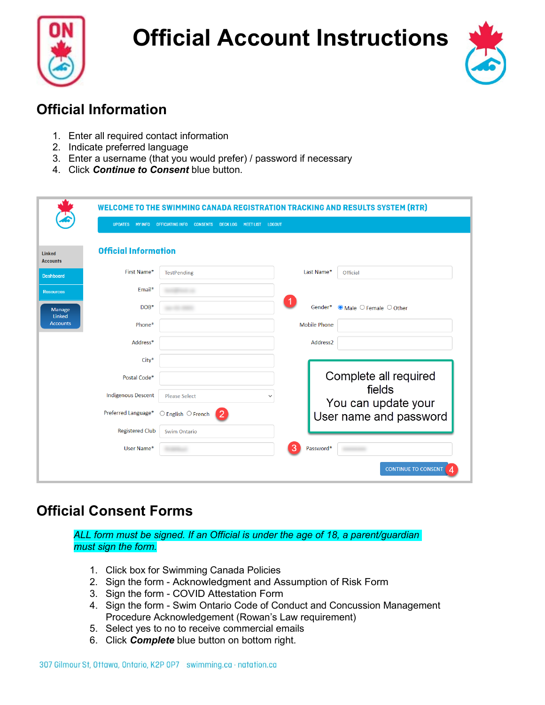



### **Official Information**

- 1. Enter all required contact information
- 2. Indicate preferred language
- 3. Enter a username (that you would prefer) / password if necessary
- 4. Click *Continue to Consent* blue button.

|                                  | <b>UPDATES</b><br><b>MY INFO</b> | <b>CONSENTS</b><br><b>DECK LOG</b><br><b>OFFICIATING INFO</b> | <b>LOGOUT</b><br><b>MEET LIST</b> |                      | WELCOME TO THE SWIMMING CANADA REGISTRATION TRACKING AND RESULTS SYSTEM (RTR) |
|----------------------------------|----------------------------------|---------------------------------------------------------------|-----------------------------------|----------------------|-------------------------------------------------------------------------------|
| <b>Linked</b><br><b>Accounts</b> | <b>Official Information</b>      |                                                               |                                   |                      |                                                                               |
| <b>Dashboard</b>                 | First Name*                      | <b>TestPending</b>                                            |                                   | Last Name*           | Official                                                                      |
| <b>Resources</b>                 | Email*                           |                                                               |                                   |                      |                                                                               |
| Manage<br>Linked                 | DOB*                             |                                                               |                                   | Gender*              | $\bullet$ Male $\circ$ Female $\circ$ Other                                   |
| <b>Accounts</b>                  | Phone*                           |                                                               |                                   | <b>Mobile Phone</b>  |                                                                               |
|                                  | Address*                         |                                                               |                                   | Address <sub>2</sub> |                                                                               |
|                                  | City*                            |                                                               |                                   |                      |                                                                               |
|                                  | Postal Code*                     |                                                               |                                   |                      | Complete all required                                                         |
|                                  | <b>Indigenous Descent</b>        | <b>Please Select</b>                                          | $\checkmark$                      |                      | fields                                                                        |
|                                  | Preferred Language*              | $\circlearrowright$ English $\circlearrowright$ French<br>2   |                                   |                      | You can update your<br>User name and password                                 |
|                                  | <b>Registered Club</b>           | <b>Swim Ontario</b>                                           |                                   |                      |                                                                               |
|                                  | User Name*                       |                                                               | З                                 | Password*            |                                                                               |
|                                  |                                  |                                                               |                                   |                      | <b>CONTINUE TO CONSENT</b>                                                    |

#### **Official Consent Forms**

*ALL form must be signed. If an Official is under the age of 18, a parent/guardian must sign the form.*

- 1. Click box for Swimming Canada Policies
- 2. Sign the form Acknowledgment and Assumption of Risk Form
- 3. Sign the form COVID Attestation Form
- 4. Sign the form Swim Ontario Code of Conduct and Concussion Management Procedure Acknowledgement (Rowan's Law requirement)
- 5. Select yes to no to receive commercial emails
- 6. Click *Complete* blue button on bottom right.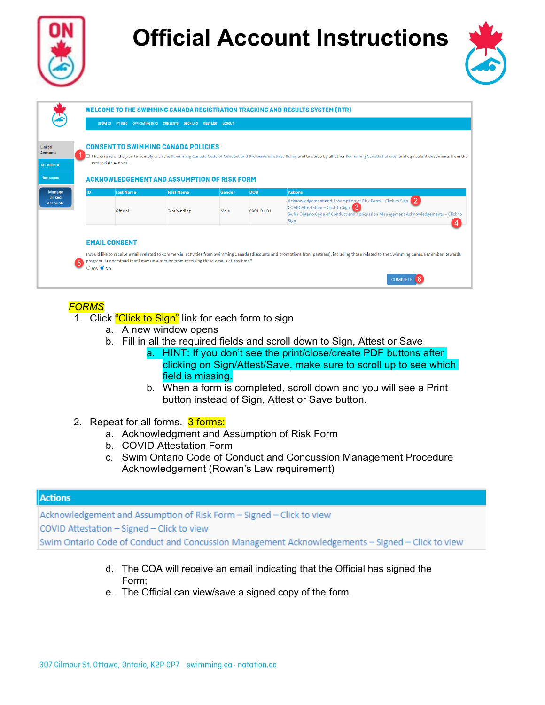



|                                                                   |                                  |                      |                                                                                                  |        |            | <b>WELCOME TO THE SWIMMING CANADA REGISTRATION TRACKING AND RESULTS SYSTEM (RTR)</b>                                                                                                                            |
|-------------------------------------------------------------------|----------------------------------|----------------------|--------------------------------------------------------------------------------------------------|--------|------------|-----------------------------------------------------------------------------------------------------------------------------------------------------------------------------------------------------------------|
|                                                                   |                                  |                      | UPDATES MY INFO OFFICIATING INFO CONSENTS DECKLOG MEET LIST LOGOUT                               |        |            |                                                                                                                                                                                                                 |
| Linked<br><b>Accounts</b><br><b>Dashboard</b><br><b>Resources</b> | <b>Provincial Sections.</b>      |                      | <b>CONSENT TO SWIMMING CANADA POLICIES</b><br><b>ACKNOWLEDGEMENT AND ASSUMPTION OF RISK FORM</b> |        |            | I have read and agree to comply with the Swimming Canada Code of Conduct and Professional Ethics Policy and to abide by all other Swimming Canada Policies; and equivalent documents from the                   |
| <b>Manage</b>                                                     | ID                               | <b>Last Name</b>     | <b>First Name</b>                                                                                | Gender | <b>DOB</b> | <b>Actions</b>                                                                                                                                                                                                  |
| Linked<br><b>Accounts</b>                                         |                                  | Official             | <b>TestPending</b>                                                                               | Male   | 0001-01-01 | Acknowledgement and Assumption of Risk Form - Click to Sign<br>COVID Attestation - Click to Sign<br>Swim Ontario Code of Conduct and Concussion Management Acknowledgements - Click to<br>Sign                  |
|                                                                   | 5<br>$\supset$ Yes $\bigcirc$ No | <b>EMAIL CONSENT</b> | program. I understand that I may unsubscribe from receiving these emails at any time*            |        |            | I would like to receive emails related to commercial activities from Swimming Canada (discounts and promotions from partners), including those related to the Swimming Canada Member Rewards<br><b>COMPLETE</b> |

#### *FORMS*

- 1. Click "Click to Sign" link for each form to sign
	- a. A new window opens
	- b. Fill in all the required fields and scroll down to Sign, Attest or Save
		- a. HINT: If you don't see the print/close/create PDF buttons after clicking on Sign/Attest/Save, make sure to scroll up to see which field is missing.
		- b. When a form is completed, scroll down and you will see a Print button instead of Sign, Attest or Save button.
- 2. Repeat for all forms. 3 forms:
	- a. Acknowledgment and Assumption of Risk Form
	- b. COVID Attestation Form
	- c. Swim Ontario Code of Conduct and Concussion Management Procedure Acknowledgement (Rowan's Law requirement)

#### **Actions**

Acknowledgement and Assumption of Risk Form - Signed - Click to view COVID Attestation - Signed - Click to view Swim Ontario Code of Conduct and Concussion Management Acknowledgements - Signed - Click to view

- d. The COA will receive an email indicating that the Official has signed the Form;
- e. The Official can view/save a signed copy of the form.